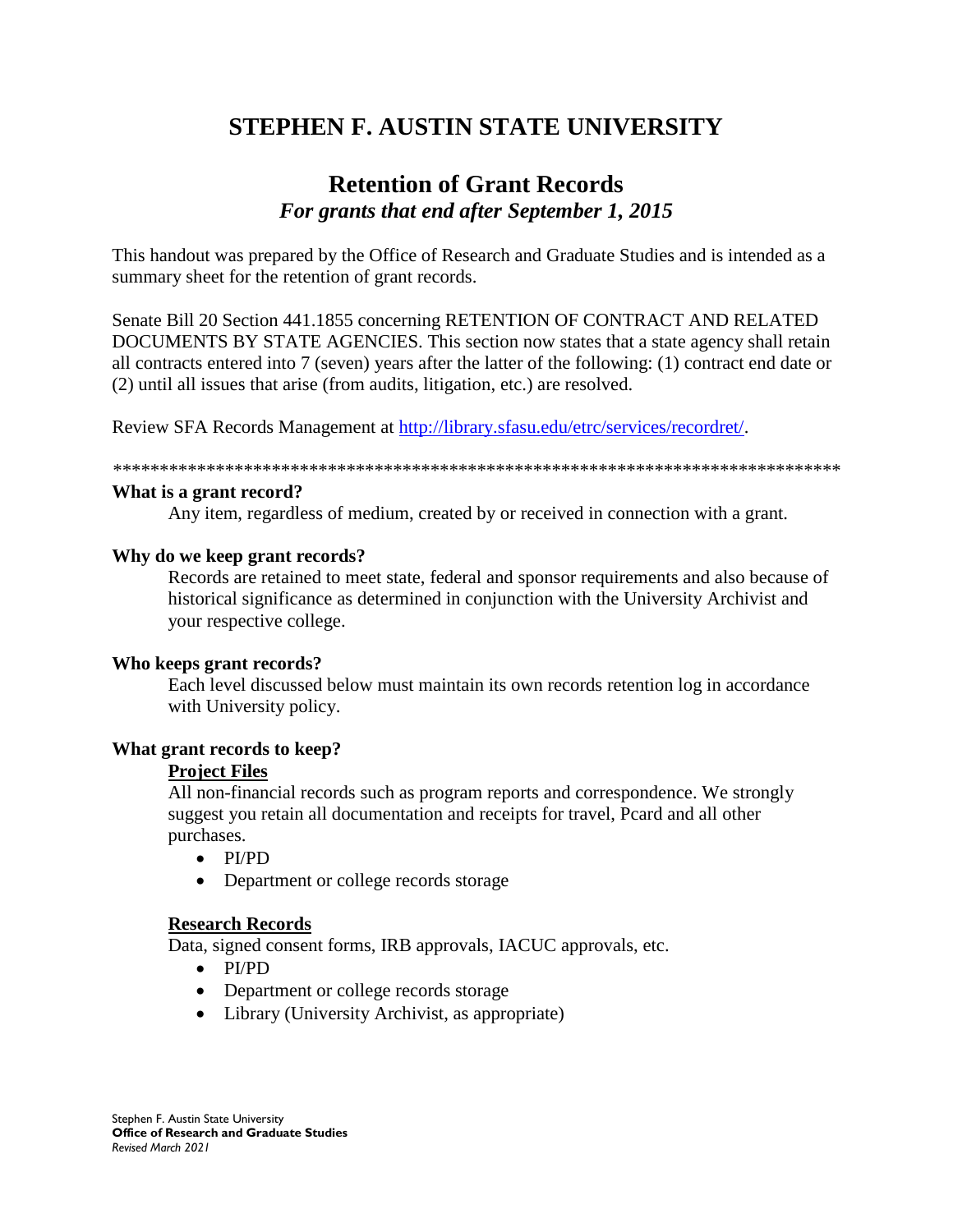# **STEPHEN F. AUSTIN STATE UNIVERSITY**

## **Retention of Grant Records** *For grants that end after September 1, 2015*

This handout was prepared by the Office of Research and Graduate Studies and is intended as a summary sheet for the retention of grant records.

Senate Bill 20 Section 441.1855 concerning RETENTION OF CONTRACT AND RELATED DOCUMENTS BY STATE AGENCIES. This section now states that a state agency shall retain all contracts entered into 7 (seven) years after the latter of the following: (1) contract end date or (2) until all issues that arise (from audits, litigation, etc.) are resolved.

Review SFA Records Management at [http://library.sfasu.edu/etrc/services/recordret/.](http://library.sfasu.edu/etrc/services/recordret/)

*\*\*\*\*\*\*\*\*\*\*\*\*\*\*\*\*\*\*\*\*\*\*\*\*\*\*\*\*\*\*\*\*\*\*\*\*\*\*\*\*\*\*\*\*\*\*\*\*\*\*\*\*\*\*\*\*\*\*\*\*\*\*\*\*\*\*\*\*\*\*\*\*\*\*\*\*\*\**

#### **What is a grant record?**

Any item, regardless of medium, created by or received in connection with a grant.

#### **Why do we keep grant records?**

Records are retained to meet state, federal and sponsor requirements and also because of historical significance as determined in conjunction with the University Archivist and your respective college.

#### **Who keeps grant records?**

Each level discussed below must maintain its own records retention log in accordance with University policy.

#### **What grant records to keep?**

#### **Project Files**

All non-financial records such as program reports and correspondence. We strongly suggest you retain all documentation and receipts for travel, Pcard and all other purchases.

- PI/PD
- Department or college records storage

#### **Research Records**

Data, signed consent forms, IRB approvals, IACUC approvals, etc.

- PI/PD
- Department or college records storage
- Library (University Archivist, as appropriate)